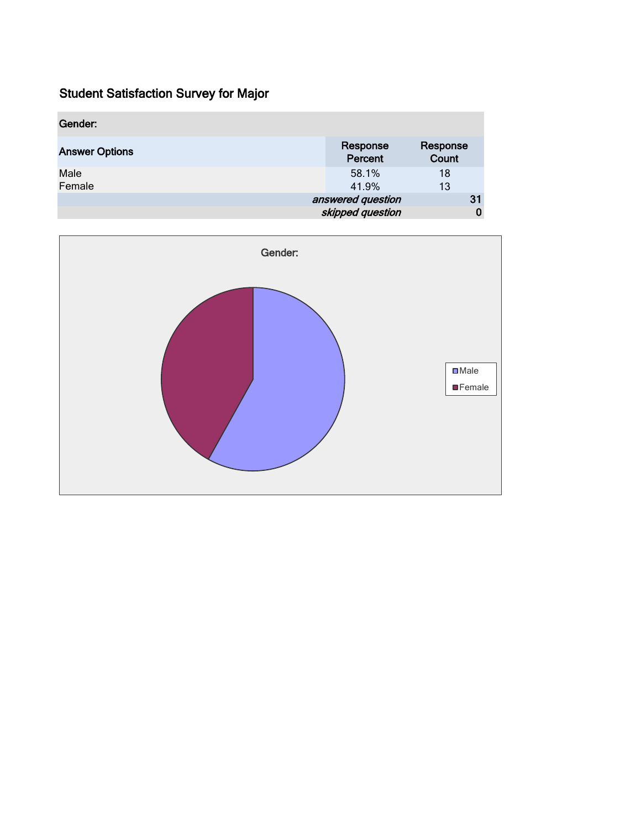| Gender:               |                                       |                   |
|-----------------------|---------------------------------------|-------------------|
| <b>Answer Options</b> | Response<br>Percent                   | Response<br>Count |
| Male<br>Female        | 58.1%<br>41.9%                        | 18<br>13          |
|                       | answered question<br>skipped question | 31                |

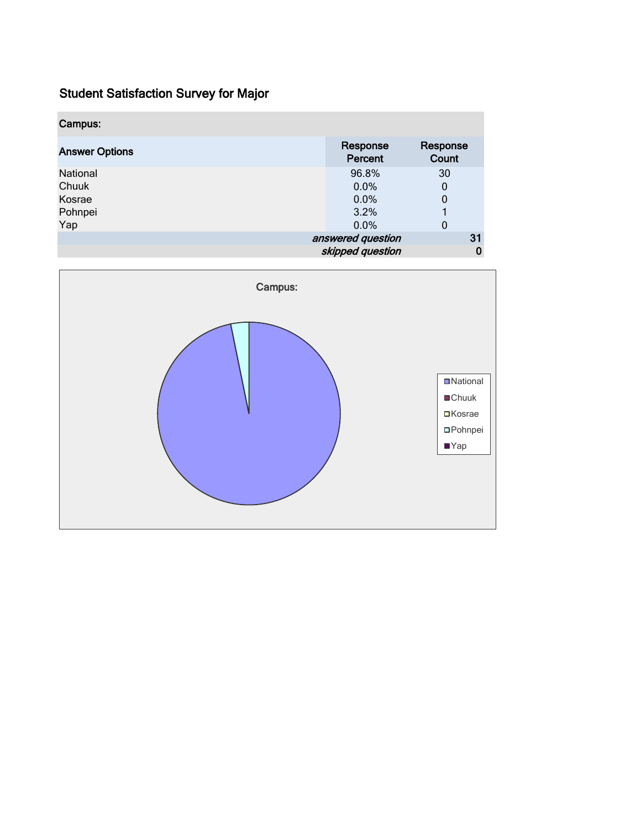| Campus:               |                     |                   |
|-----------------------|---------------------|-------------------|
| <b>Answer Options</b> | Response<br>Percent | Response<br>Count |
| National              | 96.8%               | 30                |
| Chuuk                 | 0.0%                | 0                 |
| Kosrae                | 0.0%                | 0                 |
| Pohnpei               | 3.2%                |                   |
| Yap                   | 0.0%                | 0                 |
|                       | answered question   | 31                |
|                       | skipped question    | 0                 |

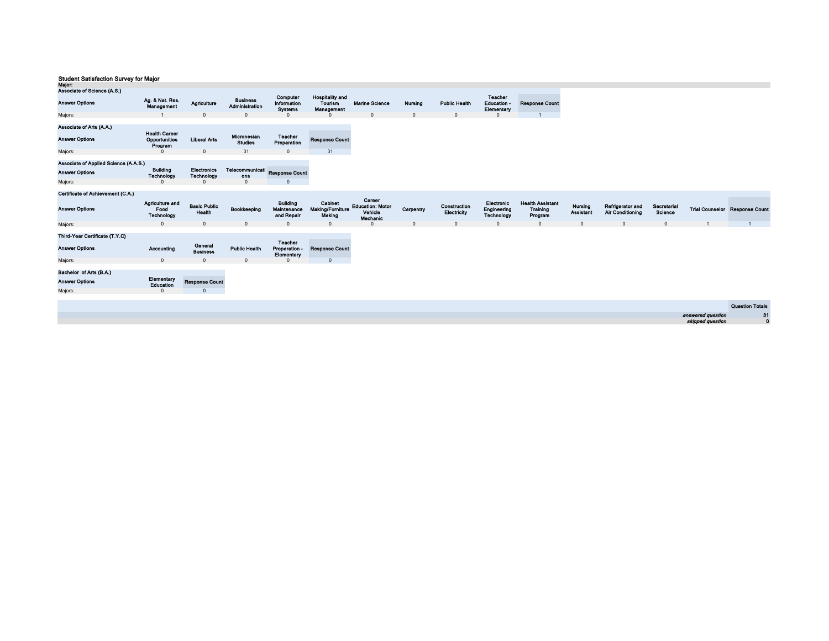| major:                                                                                                                         |                                                                     |                                                       |                                                                |                                               |                                                        |                                                          |                |                             |                                           |                                                |                             |                                             |                               |                   |                                       |
|--------------------------------------------------------------------------------------------------------------------------------|---------------------------------------------------------------------|-------------------------------------------------------|----------------------------------------------------------------|-----------------------------------------------|--------------------------------------------------------|----------------------------------------------------------|----------------|-----------------------------|-------------------------------------------|------------------------------------------------|-----------------------------|---------------------------------------------|-------------------------------|-------------------|---------------------------------------|
| Associate of Science (A.S.)                                                                                                    |                                                                     |                                                       |                                                                |                                               |                                                        |                                                          |                |                             |                                           |                                                |                             |                                             |                               |                   |                                       |
| <b>Answer Options</b>                                                                                                          | Ag. & Nat. Res.<br>Management                                       | Agriculture                                           | <b>Business</b><br>Administration                              | Computer<br>Information<br><b>Systems</b>     | <b>Hospitality and</b><br>Tourism<br><b>Management</b> | <b>Marine Science</b>                                    | <b>Nursing</b> | <b>Public Health</b>        | Teacher<br><b>Education</b><br>Elementary | <b>Response Count</b>                          |                             |                                             |                               |                   |                                       |
| Majors:                                                                                                                        |                                                                     | $\mathbf{0}$                                          | $\Omega$                                                       | $\Omega$                                      |                                                        | $\Omega$                                                 | $\mathbf{0}$   | $\Omega$                    | $\Omega$                                  |                                                |                             |                                             |                               |                   |                                       |
| Associate of Arts (A.A.)<br><b>Answer Options</b><br>Majors:<br>Associate of Applied Science (A.A.S.)<br><b>Answer Options</b> | <b>Health Career</b><br>Opportunities<br>Program<br><b>Building</b> | <b>Liberal Arts</b><br>$\Omega$<br><b>Electronics</b> | Micronesian<br>Studies<br>31<br>Telecommunicati Response Count | Teacher<br>Preparation<br>$\mathbf 0$         | <b>Response Count</b><br>31                            |                                                          |                |                             |                                           |                                                |                             |                                             |                               |                   |                                       |
|                                                                                                                                | Technology                                                          | Technology                                            | ons                                                            |                                               |                                                        |                                                          |                |                             |                                           |                                                |                             |                                             |                               |                   |                                       |
| Majors:                                                                                                                        | $\Omega$                                                            | $\Omega$                                              | $\Omega$                                                       | $\Omega$                                      |                                                        |                                                          |                |                             |                                           |                                                |                             |                                             |                               |                   |                                       |
| Certificate of Achievement (C.A.)                                                                                              |                                                                     |                                                       |                                                                |                                               |                                                        |                                                          |                |                             |                                           |                                                |                             |                                             |                               |                   |                                       |
| <b>Answer Options</b>                                                                                                          | Agriculture and<br>Food<br>Technology                               | <b>Basic Public</b><br>Health                         | Bookkeeping                                                    | <b>Building</b><br>Maintenance<br>and Repair  | Cabinet<br><b>Making/Furniture</b><br>Making           | Career<br><b>Education: Motor</b><br>Vehicle<br>Mechanic | Carpentry      | Construction<br>Electricity | Electronic<br>Engineering<br>Technology   | <b>Health Assistant</b><br>Training<br>Program | Nursing<br><b>Assistant</b> | Refrigerator and<br><b>Air Conditioning</b> | Secretarial<br><b>Science</b> |                   | <b>Trial Counselor Response Count</b> |
| Majors:                                                                                                                        | $\Omega$                                                            | $\Omega$                                              | $\Omega$                                                       | $\Omega$                                      | $\mathbf{0}$                                           |                                                          | $\Omega$       | $\Omega$                    | $\Omega$                                  | $\Omega$                                       | $\Omega$                    | $\Omega$                                    | $\Omega$                      |                   |                                       |
| Third-Year Certificate (T.Y.C)<br><b>Answer Options</b>                                                                        | Accounting                                                          | General<br><b>Business</b>                            | <b>Public Health</b>                                           | <b>Teacher</b><br>Preparation -<br>Elementary | <b>Response Count</b>                                  |                                                          |                |                             |                                           |                                                |                             |                                             |                               |                   |                                       |
| Majors:                                                                                                                        | $\mathbf{0}$                                                        | $\mathbf 0$                                           | $\Omega$                                                       | $\Omega$                                      | $\mathbf 0$                                            |                                                          |                |                             |                                           |                                                |                             |                                             |                               |                   |                                       |
| Bachelor of Arts (B.A.)<br><b>Answer Options</b><br>Majors:                                                                    | Elementary<br>Education<br>$\Omega$                                 | <b>Response Count</b><br>$\Omega$                     |                                                                |                                               |                                                        |                                                          |                |                             |                                           |                                                |                             |                                             |                               |                   |                                       |
|                                                                                                                                |                                                                     |                                                       |                                                                |                                               |                                                        |                                                          |                |                             |                                           |                                                |                             |                                             |                               |                   | <b>Question Totals</b>                |
|                                                                                                                                |                                                                     |                                                       |                                                                |                                               |                                                        |                                                          |                |                             |                                           |                                                |                             |                                             |                               |                   |                                       |
|                                                                                                                                |                                                                     |                                                       |                                                                |                                               |                                                        |                                                          |                |                             |                                           |                                                |                             |                                             |                               | answered question | 31<br>$\mathbf{0}$                    |
|                                                                                                                                |                                                                     |                                                       |                                                                |                                               |                                                        |                                                          |                |                             |                                           |                                                |                             |                                             |                               | skipped question  |                                       |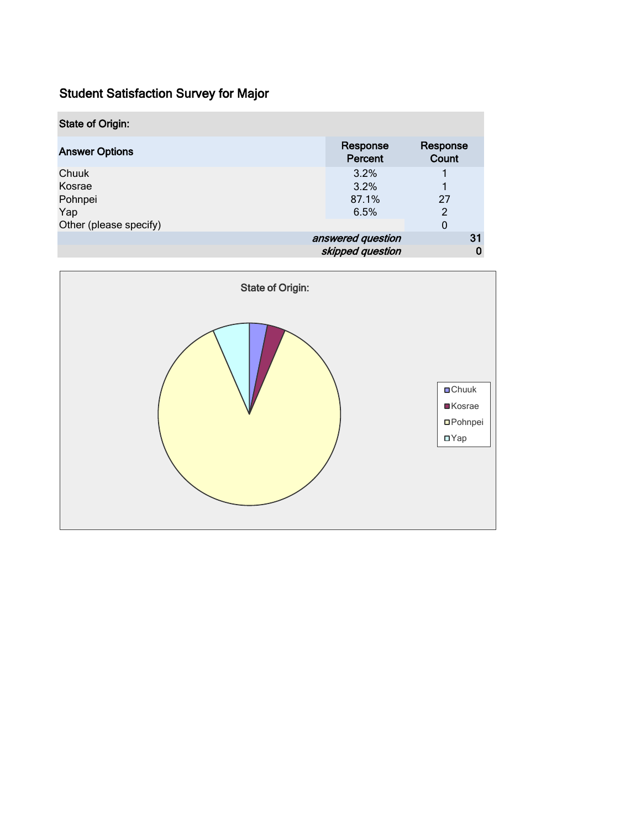| <b>State of Origin:</b> |                     |                   |   |
|-------------------------|---------------------|-------------------|---|
| <b>Answer Options</b>   | Response<br>Percent | Response<br>Count |   |
| Chuuk                   | 3.2%                |                   |   |
| Kosrae                  | 3.2%                |                   |   |
| Pohnpei                 | 87.1%               | 27                |   |
| Yap                     | 6.5%                | $\mathfrak{p}$    |   |
| Other (please specify)  |                     | 0                 |   |
|                         | answered question   | 31                |   |
|                         | skipped question    |                   | 0 |